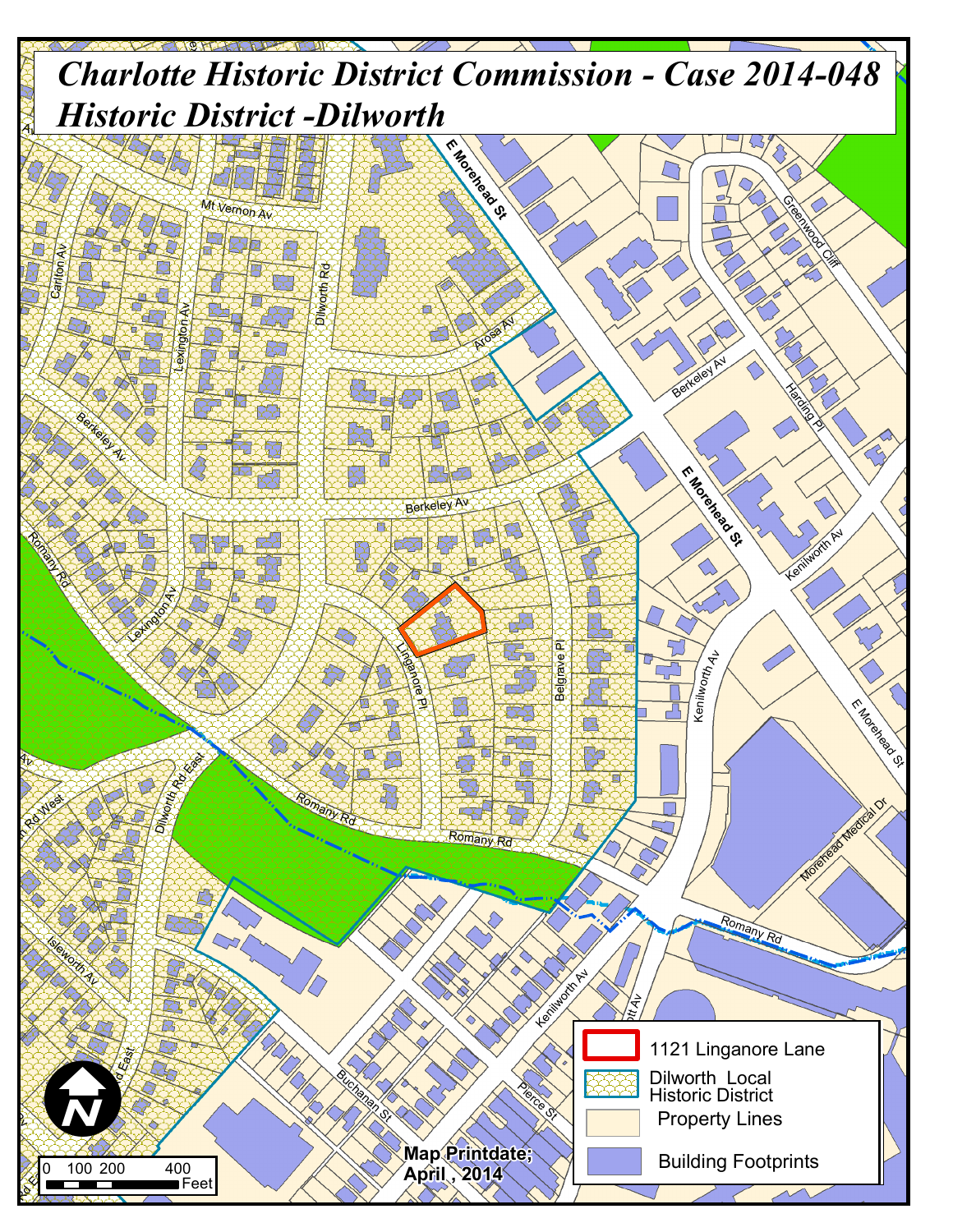